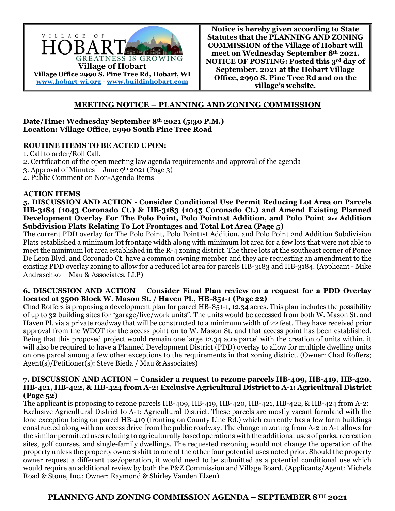

# **MEETING NOTICE – PLANNING AND ZONING COMMISSION**

#### **Date/Time: Wednesday September 8th 2021 (5:30 P.M.) Location: Village Office, 2990 South Pine Tree Road**

### **ROUTINE ITEMS TO BE ACTED UPON:**

1. Call to order/Roll Call.

- 2. Certification of the open meeting law agenda requirements and approval of the agenda
- 3. Approval of Minutes June  $9^{th}$  2021 (Page 3)
- 4. Public Comment on Non-Agenda Items

### **ACTION ITEMS**

**5. DISCUSSION AND ACTION - Consider Conditional Use Permit Reducing Lot Area on Parcels HB-3184 (1043 Coronado Ct.) & HB-3183 (1045 Coronado Ct.) and Amend Existing Planned**  Development Overlay For The Polo Point, Polo Point1st Addition, and Polo Point 2nd Addition **Subdivision Plats Relating To Lot Frontages and Total Lot Area (Page 5)** 

The current PDD overlay for The Polo Point, Polo Point1st Addition, and Polo Point 2nd Addition Subdivision Plats established a minimum lot frontage width along with minimum lot area for a few lots that were not able to meet the minimum lot area established in the R-4 zoning district. The three lots at the southeast corner of Ponce De Leon Blvd. and Coronado Ct. have a common owning member and they are requesting an amendment to the existing PDD overlay zoning to allow for a reduced lot area for parcels HB-3183 and HB-3184. (Applicant - Mike Andraschko – Mau & Associates, LLP)

### **6. DISCUSSION AND ACTION – Consider Final Plan review on a request for a PDD Overlay located at 3500 Block W. Mason St. / Haven Pl., HB-851-1 (Page 22)**

Chad Roffers is proposing a development plan for parcel HB-851-1, 12.34 acres. This plan includes the possibility of up to 32 building sites for "garage/live/work units". The units would be accessed from both W. Mason St. and Haven Pl. via a private roadway that will be constructed to a minimum width of 22 feet. They have received prior approval from the WDOT for the access point on to W. Mason St. and that access point has been established. Being that this proposed project would remain one large 12.34 acre parcel with the creation of units within, it will also be required to have a Planned Development District (PDD) overlay to allow for multiple dwelling units on one parcel among a few other exceptions to the requirements in that zoning district. (Owner: Chad Roffers; Agent(s)/Petitioner(s): Steve Bieda / Mau & Associates)

#### **7. DISCUSSION AND ACTION – Consider a request to rezone parcels HB-409, HB-419, HB-420, HB-421, HB-422, & HB-424 from A-2: Exclusive Agricultural District to A-1: Agricultural District (Page 52)**

The applicant is proposing to rezone parcels HB-409, HB-419, HB-420, HB-421, HB-422, & HB-424 from A-2: Exclusive Agricultural District to A-1: Agricultural District. These parcels are mostly vacant farmland with the lone exception being on parcel HB-419 (fronting on County Line Rd.) which currently has a few farm buildings constructed along with an access drive from the public roadway. The change in zoning from A-2 to A-1 allows for the similar permitted uses relating to agriculturally based operations with the additional uses of parks, recreation sites, golf courses, and single-family dwellings. The requested rezoning would not change the operation of the property unless the property owners shift to one of the other four potential uses noted prior. Should the property owner request a different use/operation, it would need to be submitted as a potential conditional use which would require an additional review by both the P&Z Commission and Village Board. (Applicants/Agent: Michels Road & Stone, Inc.; Owner: Raymond & Shirley Vanden Elzen)

## **PLANNING AND ZONING COMMISSION AGENDA – SEPTEMBER 8TH 2021**